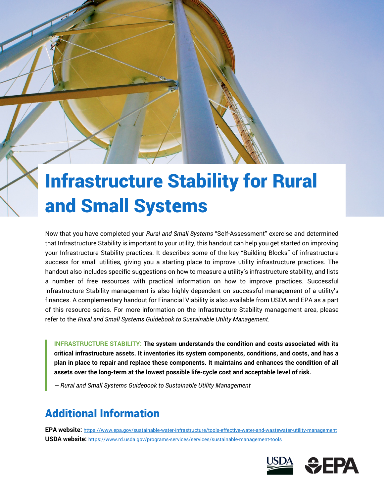# Infrastructure Stability for Rural and Small Systems

Now that you have completed your *Rural and Small Systems* "Self-Assessment" exercise and determined that Infrastructure Stability is important to your utility, this handout can help you get started on improving your Infrastructure Stability practices. It describes some of the key "Building Blocks" of infrastructure success for small utilities, giving you a starting place to improve utility infrastructure practices. The handout also includes specific suggestions on how to measure a utility's infrastructure stability, and lists a number of free resources with practical information on how to improve practices. Successful Infrastructure Stability management is also highly dependent on successful management of a utility's finances. A complementary handout for Financial Viability is also available from USDA and EPA as a part of this resource series. For more information on the Infrastructure Stability management area, please refer to the *Rural and Small Systems Guidebook to Sustainable Utility Management*.

 **assets over the long-term at the lowest possible life-cycle cost and acceptable level of risk. INFRASTRUCTURE STABILITY: The system understands the condition and costs associated with its critical infrastructure assets. It inventories its system components, conditions, and costs, and has a plan in place to repair and replace these components. It maintains and enhances the condition of all** 

*— Rural and Small Systems Guidebook to Sustainable Utility Management* 

## Additional Information

 **USDA website:** https://www.rd.usda.gov/programs-services/services/sustainable-management-tools **EPA website:** https://www.epa.gov/sustainable-water-infrastructure/tools-effective-water-and-wastewater-utility-management

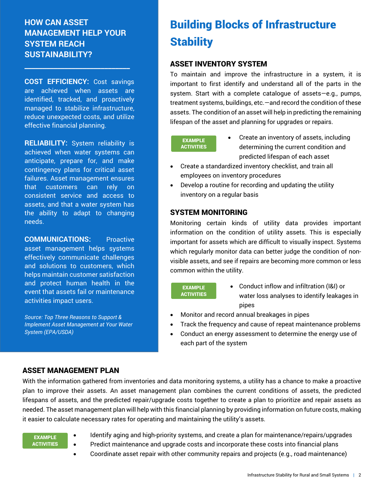#### **HOW CAN ASSET MANAGEMENT HELP YOUR SYSTEM REACH SUSTAINABILITY?**

**\_\_\_\_\_\_\_\_\_\_\_\_\_\_\_\_\_\_\_\_\_\_\_\_\_\_\_\_\_** 

**COST EFFICIENCY:** Cost savings are achieved when assets are identified, tracked, and proactively managed to stabilize infrastructure, reduce unexpected costs, and utilize effective financial planning.

**RELIABILITY:** System reliability is achieved when water systems can anticipate, prepare for, and make contingency plans for critical asset failures. Asset management ensures that customers can rely on consistent service and access to assets, and that a water system has the ability to adapt to changing needs.

**COMMUNICATIONS:** Proactive asset management helps systems effectively communicate challenges and solutions to customers, which helps maintain customer satisfaction and protect human health in the event that assets fail or maintenance activities impact users.

*Source: Top Three Reasons to Support & Implement Asset Management at Your Water System (EPA/USDA)* 

# Building Blocks of Infrastructure **Stability**

#### ASSET INVENTORY SYSTEM

To maintain and improve the infrastructure in a system, it is important to first identify and understand all of the parts in the system. Start with a complete catalogue of assets—e.g., pumps, treatment systems, buildings, etc.—and record the condition of these assets. The condition of an asset will help in predicting the remaining lifespan of the asset and planning for upgrades or repairs.

#### **EXAMPLE ACTIVITIES**

- Create an inventory of assets, including determining the current condition and predicted lifespan of each asset
- Create a standardized inventory checklist, and train all employees on inventory procedures
- Develop a routine for recording and updating the utility inventory on a regular basis

#### SYSTEM MONITORING

Monitoring certain kinds of utility data provides important information on the condition of utility assets. This is especially important for assets which are difficult to visually inspect. Systems which regularly monitor data can better judge the condition of nonvisible assets, and see if repairs are becoming more common or less common within the utility.

EXAMPLE **ACTIVITIES** 

- Conduct inflow and infiltration (I&I) or water loss analyses to identify leakages in pipes
- Monitor and record annual breakages in pipes
- Track the frequency and cause of repeat maintenance problems
- Conduct an energy assessment to determine the energy use of each part of the system

#### ASSET MANAGEMENT PLAN

With the information gathered from inventories and data monitoring systems, a utility has a chance to make a proactive plan to improve their assets. An asset management plan combines the current conditions of assets, the predicted lifespans of assets, and the predicted repair/upgrade costs together to create a plan to prioritize and repair assets as needed. The asset management plan will help with this financial planning by providing information on future costs, making it easier to calculate necessary rates for operating and maintaining the utility's assets.

EXAMPLE **ACTIVITIES** 

- Identify aging and high-priority systems, and create a plan for maintenance/repairs/upgrades
- Predict maintenance and upgrade costs and incorporate these costs into financial plans
- Coordinate asset repair with other community repairs and projects (e.g., road maintenance)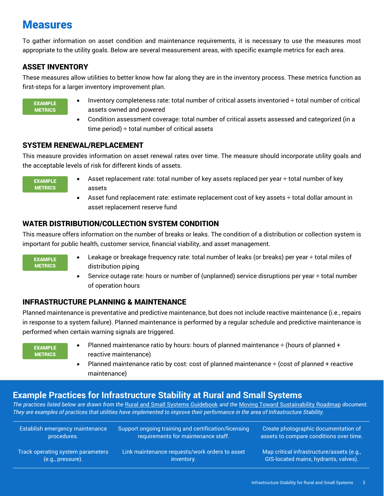### Measures

To gather information on asset condition and maintenance requirements, it is necessary to use the measures most appropriate to the utility goals. Below are several measurement areas, with specific example metrics for each area.

#### ASSET INVENTORY

 These measures allow utilities to better know how far along they are in the inventory process. These metrics function as first-steps for a larger inventory improvement plan.

EXAMPLE **METRICS** 

- Inventory completeness rate: total number of critical assets inventoried ÷ total number of critical assets owned and powered
- Condition assessment coverage: total number of critical assets assessed and categorized (in a time period)  $\div$  total number of critical assets

#### SYSTEM RENEWAL/REPLACEMENT

This measure provides information on asset renewal rates over time. The measure should incorporate utility goals and the acceptable levels of risk for different kinds of assets.

EXAMPLE **METRICS** 

- Asset replacement rate: total number of key assets replaced per year  $\div$  total number of key assets
- Asset fund replacement rate: estimate replacement cost of key assets  $\div$  total dollar amount in asset replacement reserve fund

#### WATER DISTRIBUTION/COLLECTION SYSTEM CONDITION

This measure offers information on the number of breaks or leaks. The condition of a distribution or collection system is important for public health, customer service, financial viability, and asset management.

EXAMPLE **METRICS** 

- Leakage or breakage frequency rate: total number of leaks (or breaks) per year ÷ total miles of distribution piping
- Service outage rate: hours or number of (unplanned) service disruptions per year  $\div$  total number of operation hours

#### INFRASTRUCTURE PLANNING & MAINTENANCE

Planned maintenance is preventative and predictive maintenance, but does not include reactive maintenance (i.e., repairs in response to a system failure). Planned maintenance is performed by a regular schedule and predictive maintenance is performed when certain warning signals are triggered.

EXAMPLE **METRICS** 

- Planned maintenance ratio by hours: hours of planned maintenance  $\div$  (hours of planned  $+$ reactive maintenance)
- Planned maintenance ratio by cost: cost of planned maintenance  $\div$  (cost of planned + reactive maintenance)

#### **Example Practices for Infrastructure Stability at Rural and Small Systems**

*The practices listed below are drawn from the* Rural and Small Systems Guidebook *and the* Moving Toward Sustainability Roadmap *document. They are examples of practices that utilities have implemented to improve their performance in the area of Infrastructure Stability.* 

| Establish emergency maintenance   | Support ongoing training and certification/licensing | Create photographic documentation of      |
|-----------------------------------|------------------------------------------------------|-------------------------------------------|
| procedures.                       | requirements for maintenance staff.                  | assets to compare conditions over time.   |
| Track operating system parameters | Link maintenance requests/work orders to asset       | Map critical infrastructure/assets (e.g., |
| (e.g., pressure).                 | inventory.                                           | GIS-located mains, hydrants, valves).     |